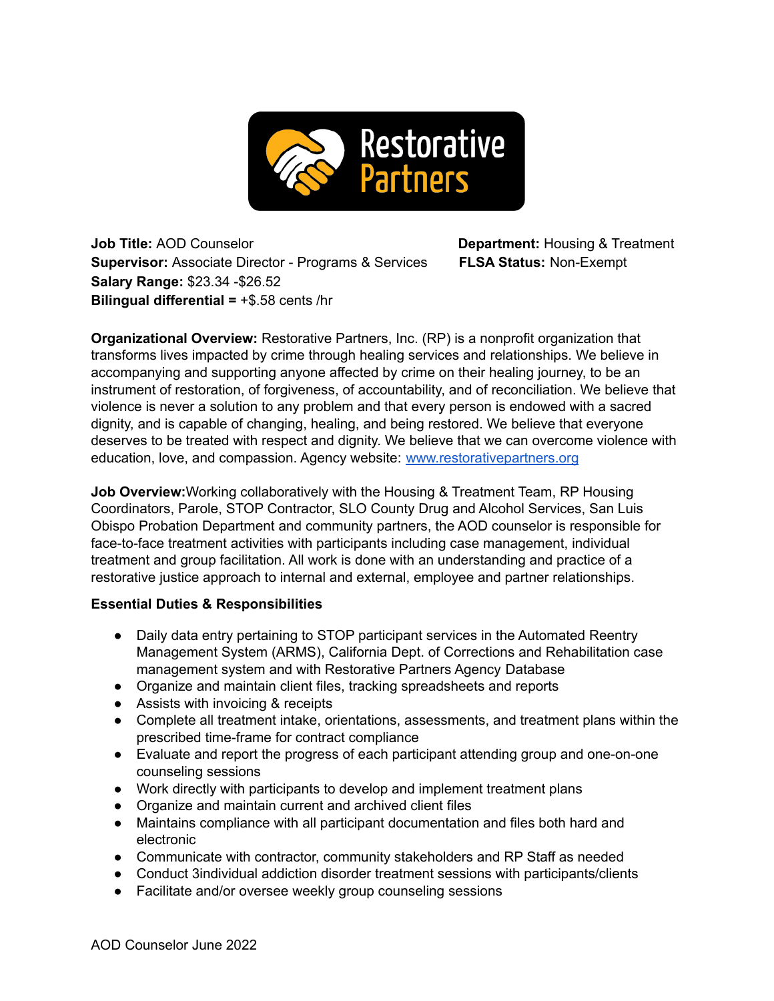

**Job Title:** AOD Counselor **Department:** Housing & Treatment **Supervisor:** Associate Director - Programs & Services **FLSA Status:** Non-Exempt **Salary Range:** \$23.34 -\$26.52 **Bilingual differential =** +\$.58 cents /hr

**Organizational Overview:** Restorative Partners, Inc. (RP) is a nonprofit organization that transforms lives impacted by crime through healing services and relationships. We believe in accompanying and supporting anyone affected by crime on their healing journey, to be an instrument of restoration, of forgiveness, of accountability, and of reconciliation. We believe that violence is never a solution to any problem and that every person is endowed with a sacred dignity, and is capable of changing, healing, and being restored. We believe that everyone deserves to be treated with respect and dignity. We believe that we can overcome violence with education, love, and compassion. Agency website: [www.restorativepartners.org](http://www.restorativepartners.org)

**Job Overview:**Working collaboratively with the Housing & Treatment Team, RP Housing Coordinators, Parole, STOP Contractor, SLO County Drug and Alcohol Services, San Luis Obispo Probation Department and community partners, the AOD counselor is responsible for face-to-face treatment activities with participants including case management, individual treatment and group facilitation. All work is done with an understanding and practice of a restorative justice approach to internal and external, employee and partner relationships.

## **Essential Duties & Responsibilities**

- Daily data entry pertaining to STOP participant services in the Automated Reentry Management System (ARMS), California Dept. of Corrections and Rehabilitation case management system and with Restorative Partners Agency Database
- Organize and maintain client files, tracking spreadsheets and reports
- Assists with invoicing & receipts
- Complete all treatment intake, orientations, assessments, and treatment plans within the prescribed time-frame for contract compliance
- Evaluate and report the progress of each participant attending group and one-on-one counseling sessions
- Work directly with participants to develop and implement treatment plans
- Organize and maintain current and archived client files
- Maintains compliance with all participant documentation and files both hard and electronic
- Communicate with contractor, community stakeholders and RP Staff as needed
- Conduct 3individual addiction disorder treatment sessions with participants/clients
- Facilitate and/or oversee weekly group counseling sessions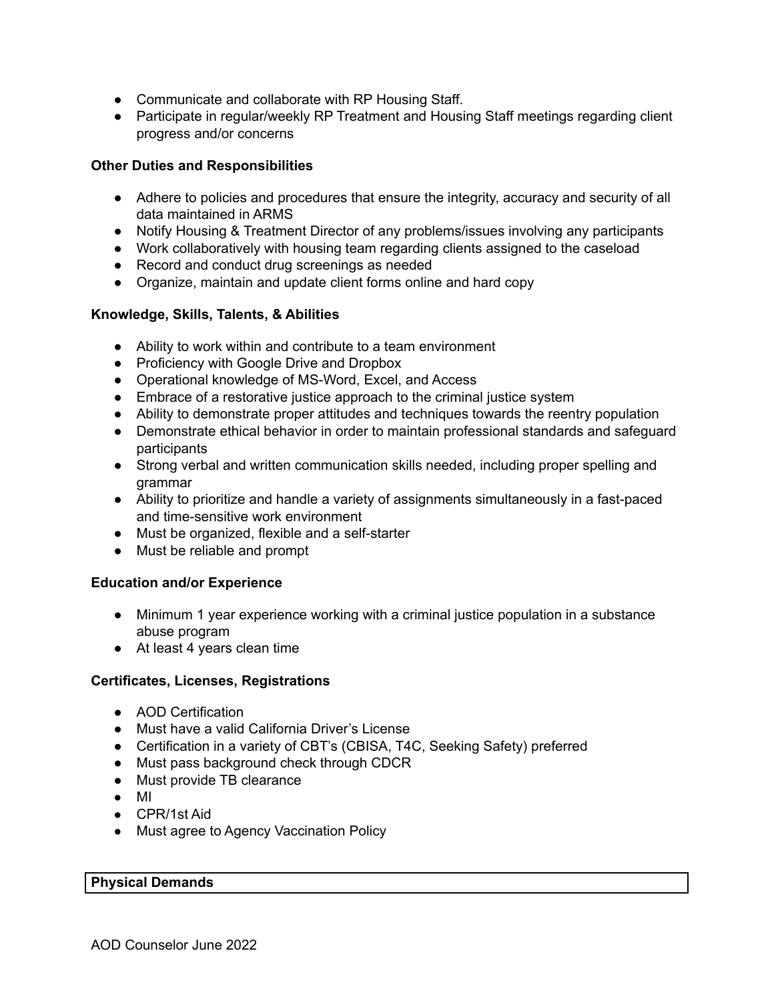- Communicate and collaborate with RP Housing Staff.
- Participate in regular/weekly RP Treatment and Housing Staff meetings regarding client progress and/or concerns

# **Other Duties and Responsibilities**

- Adhere to policies and procedures that ensure the integrity, accuracy and security of all data maintained in ARMS
- Notify Housing & Treatment Director of any problems/issues involving any participants
- Work collaboratively with housing team regarding clients assigned to the caseload
- Record and conduct drug screenings as needed
- Organize, maintain and update client forms online and hard copy

## **Knowledge, Skills, Talents, & Abilities**

- Ability to work within and contribute to a team environment
- Proficiency with Google Drive and Dropbox
- Operational knowledge of MS-Word, Excel, and Access
- Embrace of a restorative justice approach to the criminal justice system
- Ability to demonstrate proper attitudes and techniques towards the reentry population
- Demonstrate ethical behavior in order to maintain professional standards and safeguard participants
- Strong verbal and written communication skills needed, including proper spelling and grammar
- Ability to prioritize and handle a variety of assignments simultaneously in a fast-paced and time-sensitive work environment
- Must be organized, flexible and a self-starter
- Must be reliable and prompt

## **Education and/or Experience**

- Minimum 1 year experience working with a criminal justice population in a substance abuse program
- At least 4 years clean time

## **Certificates, Licenses, Registrations**

- AOD Certification
- Must have a valid California Driver's License
- Certification in a variety of CBT's (CBISA, T4C, Seeking Safety) preferred
- Must pass background check through CDCR
- Must provide TB clearance
- MI
- CPR/1st Aid
- Must agree to Agency Vaccination Policy

#### **Physical Demands**